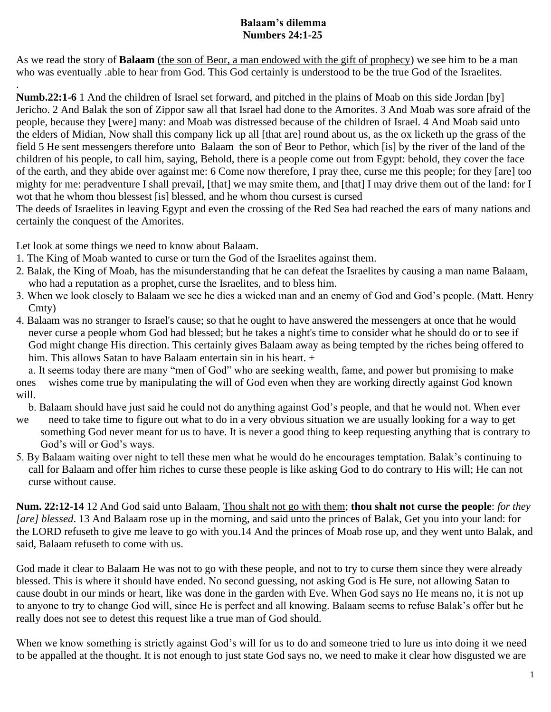## **Balaam's dilemma Numbers 24:1-25**

As we read the story of **Balaam** (the son of Beor, a man endowed with the gift of prophecy) we see him to be a man who was eventually .able to hear from God. This God certainly is understood to be the true God of the Israelites.

**Numb.22:1-6** 1 And the children of Israel set forward, and pitched in the plains of Moab on this side Jordan [by] Jericho. 2 And Balak the son of Zippor saw all that Israel had done to the Amorites. 3 And Moab was sore afraid of the people, because they [were] many: and Moab was distressed because of the children of Israel. 4 And Moab said unto the elders of Midian, Now shall this company lick up all [that are] round about us, as the ox licketh up the grass of the field 5 He sent messengers therefore unto Balaam the son of Beor to Pethor, which [is] by the river of the land of the children of his people, to call him, saying, Behold, there is a people come out from Egypt: behold, they cover the face of the earth, and they abide over against me: 6 Come now therefore, I pray thee, curse me this people; for they [are] too mighty for me: peradventure I shall prevail, [that] we may smite them, and [that] I may drive them out of the land: for I wot that he whom thou blessest [is] blessed, and he whom thou cursest is cursed

The deeds of Israelites in leaving Egypt and even the crossing of the Red Sea had reached the ears of many nations and certainly the conquest of the Amorites.

Let look at some things we need to know about Balaam.

.

- 1. The King of Moab wanted to curse or turn the God of the Israelites against them.
- 2. Balak, the King of Moab, has the misunderstanding that he can defeat the Israelites by causing a man name Balaam, who had a reputation as a prophet, curse the Israelites, and to bless him.
- 3. When we look closely to Balaam we see he dies a wicked man and an enemy of God and God's people. (Matt. Henry Cmty)
- 4. Balaam was no stranger to Israel's cause; so that he ought to have answered the messengers at once that he would never curse a people whom God had blessed; but he takes a night's time to consider what he should do or to see if God might change His direction. This certainly gives Balaam away as being tempted by the riches being offered to him. This allows Satan to have Balaam entertain sin in his heart. +

a. It seems today there are many "men of God" who are seeking wealth, fame, and power but promising to make ones wishes come true by manipulating the will of God even when they are working directly against God known will.

b. Balaam should have just said he could not do anything against God's people, and that he would not. When ever

- we need to take time to figure out what to do in a very obvious situation we are usually looking for a way to get something God never meant for us to have. It is never a good thing to keep requesting anything that is contrary to God's will or God's ways.
- 5. By Balaam waiting over night to tell these men what he would do he encourages temptation. Balak's continuing to call for Balaam and offer him riches to curse these people is like asking God to do contrary to His will; He can not curse without cause.

**Num. 22:12-14** 12 And God said unto Balaam, Thou shalt not go with them; **thou shalt not curse the people**: *for they [are] blessed*. 13 And Balaam rose up in the morning, and said unto the princes of Balak, Get you into your land: for the LORD refuseth to give me leave to go with you.14 And the princes of Moab rose up, and they went unto Balak, and said, Balaam refuseth to come with us.

God made it clear to Balaam He was not to go with these people, and not to try to curse them since they were already blessed. This is where it should have ended. No second guessing, not asking God is He sure, not allowing Satan to cause doubt in our minds or heart, like was done in the garden with Eve. When God says no He means no, it is not up to anyone to try to change God will, since He is perfect and all knowing. Balaam seems to refuse Balak's offer but he really does not see to detest this request like a true man of God should.

When we know something is strictly against God's will for us to do and someone tried to lure us into doing it we need to be appalled at the thought. It is not enough to just state God says no, we need to make it clear how disgusted we are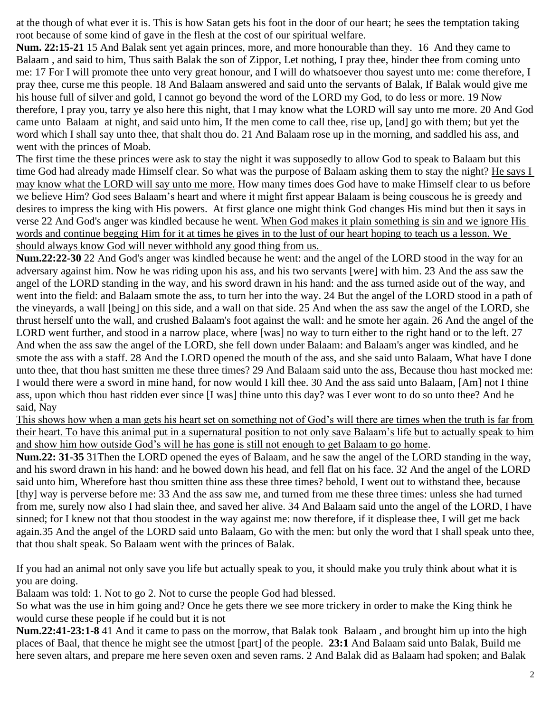at the though of what ever it is. This is how Satan gets his foot in the door of our heart; he sees the temptation taking root because of some kind of gave in the flesh at the cost of our spiritual welfare.

**Num. 22:15-21** 15 And Balak sent yet again princes, more, and more honourable than they. 16 And they came to Balaam , and said to him, Thus saith Balak the son of Zippor, Let nothing, I pray thee, hinder thee from coming unto me: 17 For I will promote thee unto very great honour, and I will do whatsoever thou sayest unto me: come therefore, I pray thee, curse me this people. 18 And Balaam answered and said unto the servants of Balak, If Balak would give me his house full of silver and gold, I cannot go beyond the word of the LORD my God, to do less or more. 19 Now therefore, I pray you, tarry ye also here this night, that I may know what the LORD will say unto me more. 20 And God came unto Balaam at night, and said unto him, If the men come to call thee, rise up, [and] go with them; but yet the word which I shall say unto thee, that shalt thou do. 21 And Balaam rose up in the morning, and saddled his ass, and went with the princes of Moab.

The first time the these princes were ask to stay the night it was supposedly to allow God to speak to Balaam but this time God had already made Himself clear. So what was the purpose of Balaam asking them to stay the night? He says I may know what the LORD will say unto me more. How many times does God have to make Himself clear to us before we believe Him? God sees Balaam's heart and where it might first appear Balaam is being couscous he is greedy and desires to impress the king with His powers. At first glance one might think God changes His mind but then it says in verse 22 And God's anger was kindled because he went. When God makes it plain something is sin and we ignore His words and continue begging Him for it at times he gives in to the lust of our heart hoping to teach us a lesson. We should always know God will never withhold any good thing from us.

**Num.22:22-30** 22 And God's anger was kindled because he went: and the angel of the LORD stood in the way for an adversary against him. Now he was riding upon his ass, and his two servants [were] with him. 23 And the ass saw the angel of the LORD standing in the way, and his sword drawn in his hand: and the ass turned aside out of the way, and went into the field: and Balaam smote the ass, to turn her into the way. 24 But the angel of the LORD stood in a path of the vineyards, a wall [being] on this side, and a wall on that side. 25 And when the ass saw the angel of the LORD, she thrust herself unto the wall, and crushed Balaam's foot against the wall: and he smote her again. 26 And the angel of the LORD went further, and stood in a narrow place, where [was] no way to turn either to the right hand or to the left. 27 And when the ass saw the angel of the LORD, she fell down under Balaam: and Balaam's anger was kindled, and he smote the ass with a staff. 28 And the LORD opened the mouth of the ass, and she said unto Balaam, What have I done unto thee, that thou hast smitten me these three times? 29 And Balaam said unto the ass, Because thou hast mocked me: I would there were a sword in mine hand, for now would I kill thee. 30 And the ass said unto Balaam, [Am] not I thine ass, upon which thou hast ridden ever since [I was] thine unto this day? was I ever wont to do so unto thee? And he said, Nay

This shows how when a man gets his heart set on something not of God's will there are times when the truth is far from their heart. To have this animal put in a supernatural position to not only save Balaam's life but to actually speak to him and show him how outside God's will he has gone is still not enough to get Balaam to go home.

**Num.22: 31-35** 31Then the LORD opened the eyes of Balaam, and he saw the angel of the LORD standing in the way, and his sword drawn in his hand: and he bowed down his head, and fell flat on his face. 32 And the angel of the LORD said unto him, Wherefore hast thou smitten thine ass these three times? behold, I went out to withstand thee, because [thy] way is perverse before me: 33 And the ass saw me, and turned from me these three times: unless she had turned from me, surely now also I had slain thee, and saved her alive. 34 And Balaam said unto the angel of the LORD, I have sinned; for I knew not that thou stoodest in the way against me: now therefore, if it displease thee, I will get me back again.35 And the angel of the LORD said unto Balaam, Go with the men: but only the word that I shall speak unto thee, that thou shalt speak. So Balaam went with the princes of Balak.

If you had an animal not only save you life but actually speak to you, it should make you truly think about what it is you are doing.

Balaam was told: 1. Not to go 2. Not to curse the people God had blessed.

So what was the use in him going and? Once he gets there we see more trickery in order to make the King think he would curse these people if he could but it is not

**Num.22:41-23:1-8** 41 And it came to pass on the morrow, that Balak took Balaam , and brought him up into the high places of Baal, that thence he might see the utmost [part] of the people. **23:1** And Balaam said unto Balak, Build me here seven altars, and prepare me here seven oxen and seven rams. 2 And Balak did as Balaam had spoken; and Balak